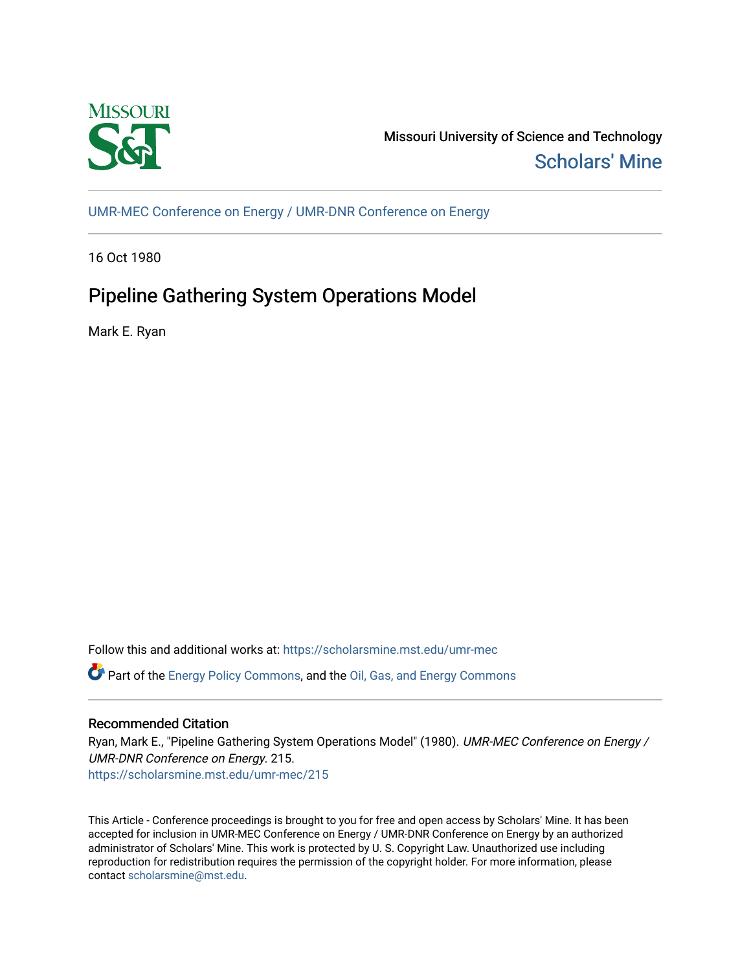

Missouri University of Science and Technology [Scholars' Mine](https://scholarsmine.mst.edu/) 

[UMR-MEC Conference on Energy / UMR-DNR Conference on Energy](https://scholarsmine.mst.edu/umr-mec)

16 Oct 1980

# Pipeline Gathering System Operations Model

Mark E. Ryan

Follow this and additional works at: [https://scholarsmine.mst.edu/umr-mec](https://scholarsmine.mst.edu/umr-mec?utm_source=scholarsmine.mst.edu%2Fumr-mec%2F215&utm_medium=PDF&utm_campaign=PDFCoverPages) 

Part of the [Energy Policy Commons](http://network.bepress.com/hgg/discipline/1065?utm_source=scholarsmine.mst.edu%2Fumr-mec%2F215&utm_medium=PDF&utm_campaign=PDFCoverPages), and the [Oil, Gas, and Energy Commons](http://network.bepress.com/hgg/discipline/171?utm_source=scholarsmine.mst.edu%2Fumr-mec%2F215&utm_medium=PDF&utm_campaign=PDFCoverPages)

# Recommended Citation

Ryan, Mark E., "Pipeline Gathering System Operations Model" (1980). UMR-MEC Conference on Energy / UMR-DNR Conference on Energy. 215. [https://scholarsmine.mst.edu/umr-mec/215](https://scholarsmine.mst.edu/umr-mec/215?utm_source=scholarsmine.mst.edu%2Fumr-mec%2F215&utm_medium=PDF&utm_campaign=PDFCoverPages) 

This Article - Conference proceedings is brought to you for free and open access by Scholars' Mine. It has been accepted for inclusion in UMR-MEC Conference on Energy / UMR-DNR Conference on Energy by an authorized administrator of Scholars' Mine. This work is protected by U. S. Copyright Law. Unauthorized use including reproduction for redistribution requires the permission of the copyright holder. For more information, please contact [scholarsmine@mst.edu](mailto:scholarsmine@mst.edu).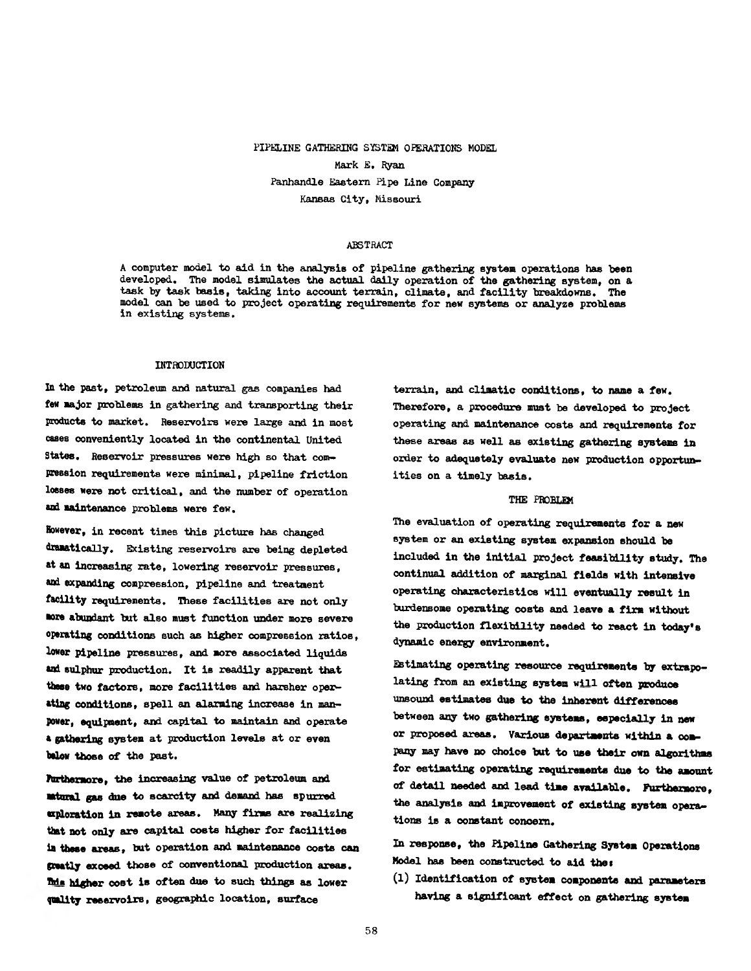**PIPELINE GATHERING SYSTEM OPERATIONS MODEL Mark E, Ryan Panhandle Eastern Pipe Line Company Kansas City, Missouri**

# **ABSTRACT**

**A computer model to aid in the analysis of pipeline gathering system operations has been developed. The model simulates the actual daily operation of the gathering system, on a task by task basis, taking into account terrain, climate, and facility breakdowns. The model can be used to project operating requirements for new systems or analyze problems in existing systems.**

#### **INTRODUCTION**

**In the past, petroleum and natural gas companies had few major problems in gathering and transporting their products to market. Reservoirs were large and in most cases conveniently located in the continental United States. Reservoir pressures were high so that compression requirements were minimal, pipeline friction losses were not critical, and the number of operation and maintenance problems were few.**

**However, in recent times this picture has changed dramatically. Existing reservoirs are being depleted at an increasing rate, lowering reservoir pressures, and expanding compression, pipeline and treatment facility requirements. These facilities are not only more abundant but also must function under more severe operating conditions such as higher compression ratios, lower pipeline pressures, and more associated liquids and sulphur production. It is readily apparent that these two factors, more facilities and harsher operating conditions, spell an alarming increase in manpower, equipment, and capital to maintain and operate a gathering system at production levels at or even below those of the past.**

**Furthermore, the increasing value of petroleum and aatural gas due to scarcity and demand has spurred exploration in remote areas. Many firms are realizing that not only are capital costs higher for facilities in these areas, but operation and maintenance costs can greatly exceed those of conventional production areas. Brio higher cost is often due to such things as lower quality reservoirs, geographic location, surface**

**terrain, and climatic conditions, to name a few. Therefore, a procedure must be developed to project operating and maintenance costs and requirements for these areas as well as existing gathering systems in order to adequately evaluate new production opportunities on a timely basis.**

### **THE PROBLEM**

**The evaluation of operating requirements for a new system or an existing system expansion should be included in the initial project feasibility study. The continual addition of marginal fields with intensive operating characteristics will eventually result in burdensome operating costs and leave a firm without the production flexibility needed to react in today's dynamic energy environment.**

**Estimating operating resource requirements by extrapolating from an existing system will often produce unsound estimates due to the inherent differences between any two gathering systems, especially in new or proposed areas. Various departments within a company may have no choice but to use their own algorithms for estimating operating requirements due to the amount of detail needed and lead time available. Furthermore, the analysis and improvement of existing system operations is a constant concern.**

**In response, the Pipeline Gathering System Operations Model has been constructed to aid thei**

**(l) Identification of system components and parameters having a significant effect on gathering system**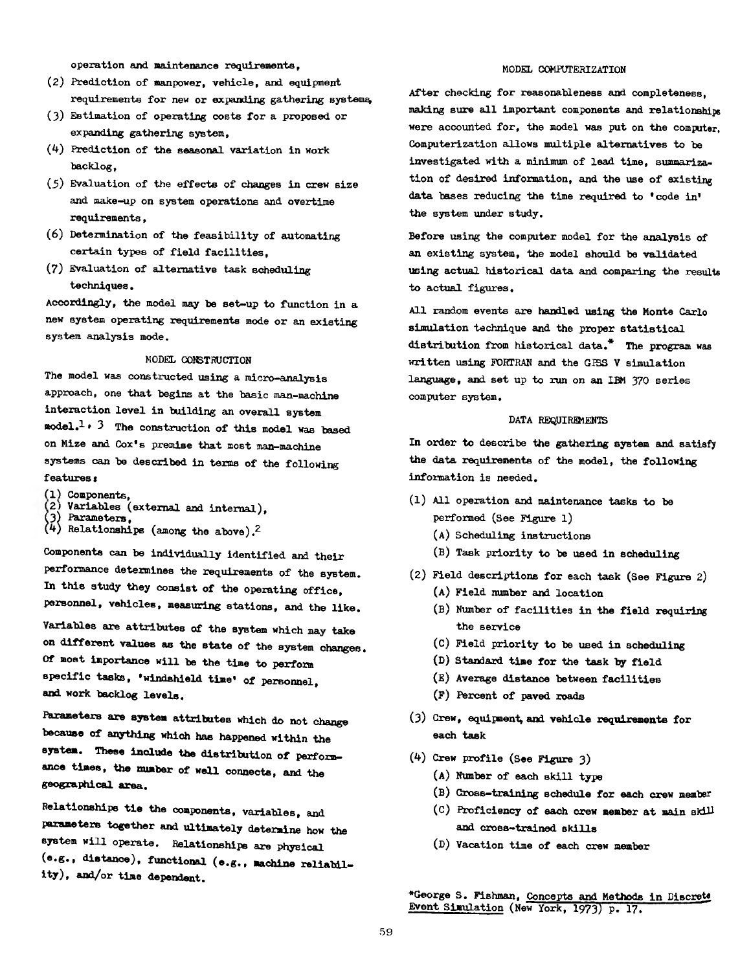**MODEL COMPUTERIZATION operation and maintenance requirements,**

- **(2) Prediction of manpower, vehicle, and equipment requirements for new or expanding gathering system^**
- **(**3**) Estimation of operating costs for a proposed or expanding gathering system,**
- **(4) Prediction of the seasonal variation in work backlog,**
- **(**5**) Evaluation of the effects of changes in crew size and make-up on system operations and overtime requirements,**
- **(6) Determination of the feasibility of automating certain types of field facilities,**
- **(7) Evaluation of alternative task scheduling techniques.**

**Accordingly, the model may be set-up to function in a new system operating requirements mode or an existing system analysis mode.**

### **MODEL CONSTHUCTION**

The model was constructed using a micro-analysis **approach, one that begins at the basic man-machine interaction level in building an overall system model.1 \* 3 The construction of this model was based on Mize and Cox's premise that most man-machine systems can be described in terms of the following features t**

- **(l) Components,**
- **(2j Variables (external and internal),**
- **(**3**) Parameters,**
- $(4)$  Relationships (among the above).<sup>2</sup>

**Components can be individually identified and their performance determines the requirements of the system. In this study they consist of the operating office, personnel, vehicles, measuring stations, and the like.**

**Variables are attributes of the system which may take on different values as the state of the system changes. Of most importance will be the time to perform specific tasks, 'windshield time\* of personnel, and work backlog levels.**

**Parameters are system attributes which do not change because of anything which has happened within the system. These include the distribution of performance times, the number of well connects, and the geographical area.**

**Relationships tie the components, variables, and parameters together and ultimately determine how the system will operate. Relationships are physical (e.g., distance), functional (e.g., machine reliability), and/or time dependent.**

**After checking for reasonableness and completeness, making sure all important components and relationships were accounted for, the model was put on the computer. Computerization allows multiple alternatives to be investigated with a minimum of lead time, summarization of desired information, and the use of existing data bases reducing the time required to 'code in\* the system under study.**

**Before using the computer model for the analysis of an existing system, the model should be validated using actual historical data and comparing the results to actual figures.**

All random events are handled using the Monte Carlo **simulation technique and the proper statistical distribution from historical data.\* The program was written using FORTRAN and the GESS V simulation language, and set up to run on an IBM** 370 **series computer system.**

### **DATA REQUIREMENTS**

**In order to describe the gathering system and satisfy the data requirements of the model, the following information is needed.**

- **(1) All operation and maintenance tasks to be performed (See Figure l)**
	- **(A) Scheduling instructions**
	- **(B) Task priority to be used in scheduling**
- **(2) Field descriptions for each task (See Figure 2)**
	- **(A) Field number and location**
	- **(B) Number of facilities in the field requiring the service**
	- **(C) Field priority to be used in scheduling**
	- **(D) Standard time for the task by field**
	- **(E) Average distance between facilities**
	- **(F) Percent of paved roads**
- **(3) Crew, equipment, and vehicle requirements for each task**
- **(\*0 Crew profile (See Figure** 3**)**
	- **(a ) Number of each skill type**
	- **(B) Cross-training schedule for each crew member**
	- **(C) Proficiency of each crew member at main skill and cross-trained skills**
	- **(D) Vacation time of each crew member**

**♦George S. Fishman, Concepts and Methods in Discrete Event Simulation (New York, I**973**) p.** 17**.**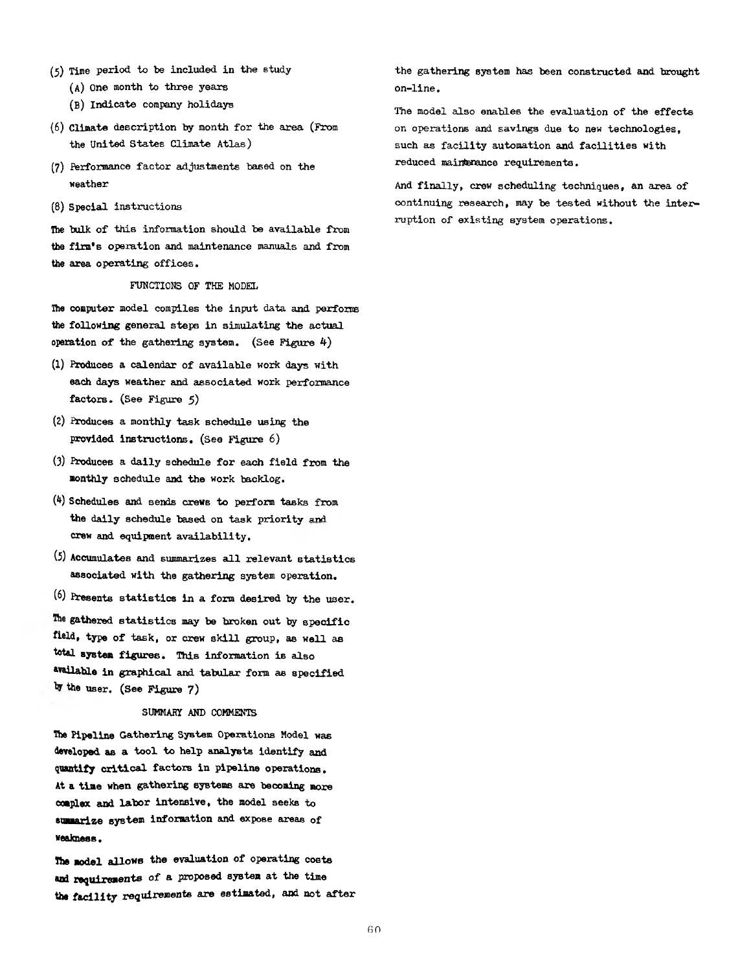- **(5) Time period to be included in the study**
	- **(a ) One month to three years**
	- **(B) Indicate company holidays**
- **(**6**) Climate description by month for the area (From the United States Climate Atlas)**
- **(7) Performance factor adjustments based on the weather**
- **(8) Special instructions**

**The bulk of this information should be available from the firm's operation and maintenance manuals and from the area operating offices.**

# **FUNCTIONS OF THE MODEL**

**The computer model compiles the input data and performs the following general steps in simulating the actual operation of the gathering system. (See Figure 4)**

- **(1) Produces a calendar of available work days with each days weather and associated work performance factors. (See Figure 5)**
- **(2) Produces a monthly task schedule using the provided instructions. (See Figure** 6**)**
- **(3) Produces a daily schedule for each field from the monthly schedule and the work backlog.**
- **W Schedules and sends crews to perform tasks from the daily schedule based on task priority and crew and equipment availability.**
- **(5) Accumulates and summarizes ail relevant statistics associated with the gathering system operation.**
- **(**6**) Presents statistics in a form desired by the user.**

**gathered statistics may be broken out by specific field, type of task, or crew skill group, as well as total system figures. This information is also available in graphical and tabular form as specified the user. (See Figure 7)**

# **SUMMARY AND COMMENTS**

**The Pipeline Gathering System Operations Model was developed as a tool to help analysts Identify and quantify critical factors in pipeline operations. At a time when gathering systems sire becoming more complex and labor intensive, the model seeks to summarize system information and expose areas of weakness.**

**The model allows the evaluation of operating costs and requirements of a proposed system at the time the facility requirements are estimated, and not after** **the gathering system has been constructed and brought on-line,**

**The model also enables the evaluation of the effects on operations and savings due to new technologies, such as facility automation and facilities with reduced maintenance requirements.**

**And finally, crew scheduling techniques, an area of continuing research, may be tested without the interruption of existing system operations.**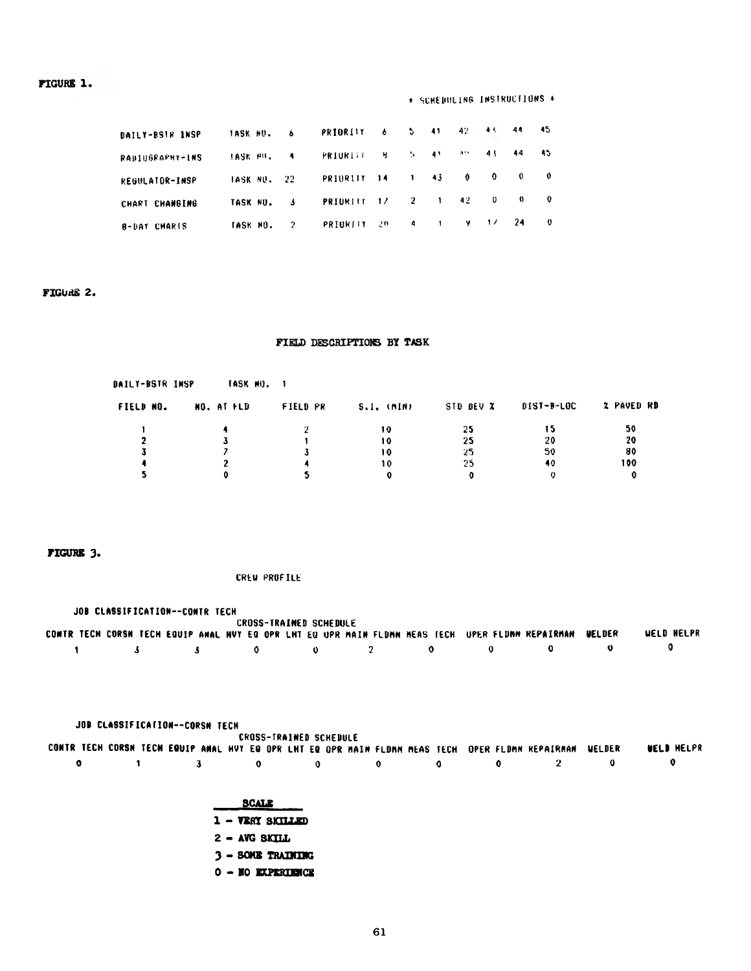# **FIGURE 1**

# **\* SCHEDULING INSTRUCTIONS \***

| DAILY-BSIR INSP     | TASK NU.    | - 6 | PRIORITY    | $\bullet$       | - 5 41       |            |           | $42 - 44$     | 44       | 45.         |
|---------------------|-------------|-----|-------------|-----------------|--------------|------------|-----------|---------------|----------|-------------|
| RAUIUGRAFHY-LNS     | TASK MIL.   | - 4 | PRIURITY    | 81 L            |              | $5 - 41$   | AM.       | 45            | 44       | 45.         |
| REGULATOR-INSP      | TASK NU. 22 |     | PRIORITY    | $\overline{14}$ | $\mathbf{1}$ | 43         | $\bullet$ | $^{\circ}$    | - 0      | 0           |
| CHART CHANGING      | TASK NU.    | -3  | PRIURITY 17 |                 | $\mathbf{2}$ | $\sim$ 1.1 | - 42      | - 0           | $\bf{0}$ | $\mathbf 0$ |
| <b>B-DAY CHARIS</b> | TASK NO.    | 2   | PRIBRITY    | -20-            | 4            | -11        | у.        | $\rightarrow$ | -24      |             |

# **FIGURE 2.**

# **FIELD DESCRIPTIONS BY TASK**

|                   |            |                  |            |                 | TASK NO. 1 | DAILY-BSTR INSP |
|-------------------|------------|------------------|------------|-----------------|------------|-----------------|
| <b>Z PAVED RD</b> | 01ST-B-LOC | <b>STU DEV X</b> | S.I. (MIN) | <b>FIELD PR</b> | NO. AT FLD | FIELD NO.       |
| -50               |            | 25               | 10         |                 |            |                 |
| 20                | 20         | 25               | 10         |                 |            |                 |
| 80                | 50         | 25               | 10         |                 |            |                 |
| 100               | 40         | 25               | 10         |                 |            |                 |
|                   |            |                  |            |                 |            |                 |
|                   |            |                  |            |                 |            |                 |

# **FIGURE 3.**

## **CREU PROFILE**

# **JOB CLASSIFICATION— CONTR TECH CROSS-TRAINED SCHEDULE CONTR TECH CORSN TECH EQUIP ANAL HOT EQ OPR LHT EU UPR MAIN FLDMN MEAS fECH UPER FLOHN REPAIRMAN UELDER UELD HELPR 1 3** 3 0 0 2 0 0 0 0

# **JOB CLASSIFICATION— CORSN TECH CROSS-TRAINED SCHEDULE CONTR TECH CORSN TECH EQUIP ANAL HVT EQ OPR LHT EQ OPR MAIN FLDMN MEAS TECH QPER FLDMN REPAIRMAN WELDER WELD HELPR**<br>0 0 2 0 0<br>0 0 2 0 0 **0 1 3 0 0 0 0 0 2 0 0**

|  | SCALE                  |
|--|------------------------|
|  | 1 - VERY SKILLED       |
|  | $2 - \text{AVG}$ SKTLL |
|  | 3 - SOME TRAINING      |
|  | 0 - NO EXPERIENCE      |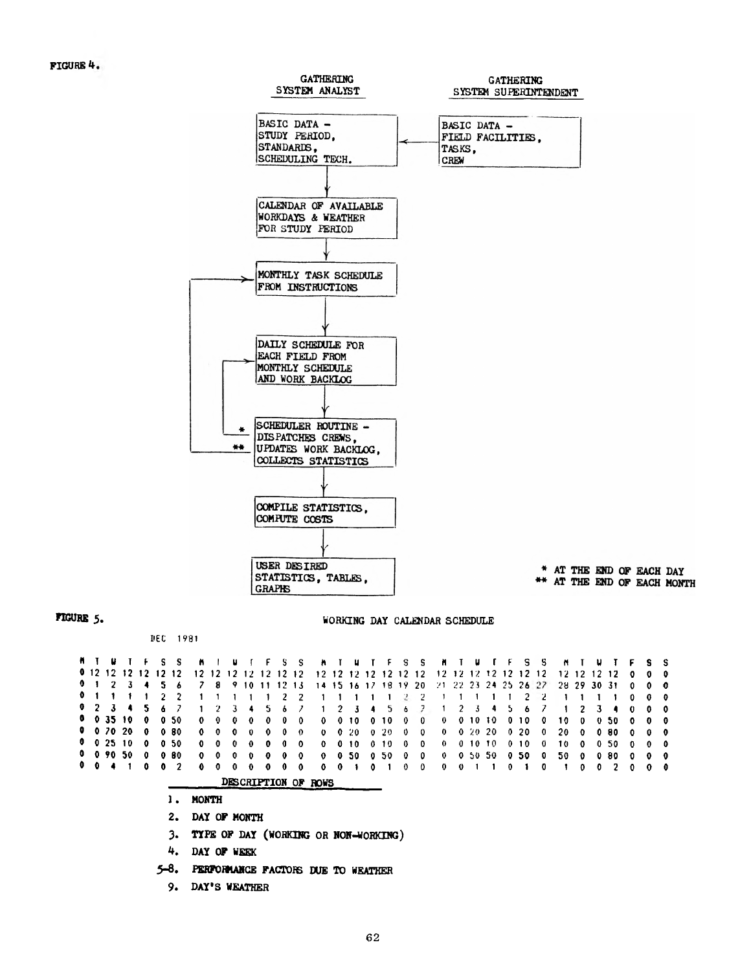**FIGURE** *k*



| п. |                |    |                   |              |                     | м.           |              | м.           |              | -F.          |              | S S                  |                     |                |       |              |               |            |              | MIUIFSSMI                                 |            | <b>U</b> |         | -F           | S.              | - S         | n.  |              | u |                 |              |                |            |
|----|----------------|----|-------------------|--------------|---------------------|--------------|--------------|--------------|--------------|--------------|--------------|----------------------|---------------------|----------------|-------|--------------|---------------|------------|--------------|-------------------------------------------|------------|----------|---------|--------------|-----------------|-------------|-----|--------------|---|-----------------|--------------|----------------|------------|
|    |                |    |                   |              | 0 12 12 12 12 12 12 |              |              |              |              |              |              | 12 12 12 12 12 12 12 |                     |                |       |              |               |            |              |                                           |            |          |         |              |                 |             |     |              |   | $12$ 12 12 12 0 |              | 00             |            |
|    |                | -2 |                   |              |                     |              | я            |              |              | 9 10 11      |              | $12-13$              |                     |                |       |              |               |            |              | 14 15 16 17 18 19 20 21 22 23 24 25 26 27 |            |          |         |              |                 |             |     | 28 29 30 31  |   |                 | $\mathbf{0}$ | $0\quad 0$     |            |
|    | 0 <sub>1</sub> |    |                   |              |                     |              |              |              |              |              |              | 2                    |                     |                |       |              |               |            |              |                                           |            |          |         |              |                 |             |     |              |   |                 |              |                | $0\quad 0$ |
|    | 0 <sub>2</sub> |    |                   |              |                     |              |              |              |              |              |              |                      |                     |                |       | $\mathbf{A}$ | 5.            | Ô.         |              |                                           | 2          | 5        | 4       |              | 6               |             |     |              |   |                 | -0           | 00             |            |
|    |                |    | 0 0 35 10         | $\mathbf{0}$ | 0 50                | $\mathbf{o}$ | $^{\circ}$   | $\bf{0}$     | $^{\circ}$   | $\Omega$     | 0            | 0                    | $\mathbf{0}$        |                | 010   | $\mathbf{0}$ | 10            | 0          | $\Omega$     | $\bf{0}$                                  |            |          | 01010   | $\mathbf{0}$ | 10.             | $\mathbf 0$ | 10  | $\Omega$     |   | 050             | - 0          | 00             |            |
|    |                |    | $0 \t0 \t20$      | $\mathbf{0}$ | <b>OBO</b>          | $\mathbf{0}$ | $\mathbf{0}$ | $^{\circ}$   | $\Omega$     | $\mathbf 0$  | 0            | $\Omega$             |                     | $0 \t 0 \t 20$ |       |              | -0-20         | 0          | $\mathbf{0}$ | $\bf{0}$                                  |            |          | 0.20.20 |              | 020             | - 0         | 20. | $\mathbf{0}$ |   | 080             | $\bullet$    | $0\quad 0$     |            |
|    |                |    | $0 \t0 \t25 \t10$ | $\mathbf{o}$ | 050                 | $\mathbf{o}$ | 0            | $\bf{0}$     | $^{\circ}$   | $\mathbf{0}$ | 0            | -0                   | $\mathbf{0}$        |                | 0 1 0 | 0            | 10.           | п.         | $\Omega$     | $\Omega$                                  |            |          | 01010   | $\mathbf{0}$ | 10 <sup>°</sup> | -0          | 10  | $\mathbf{0}$ |   | 050             | $\mathbf{0}$ | $0\quad 0$     |            |
|    |                |    | $0 \t0 \t90 \t50$ | $\mathbf{0}$ | <b>OBO</b>          | $^{\circ}$   | 0            | $\mathbf{0}$ | $\mathbf{0}$ | - 0          | $\mathbf{0}$ | $\Omega$             |                     |                |       |              | $0$ 0 50 0 50 | 0          | $\mathbf{0}$ | $\mathbf{0}$                              |            |          | 0 50 50 |              | 050             | - 0         | 50  | $\mathbf{o}$ |   | 080             | $\mathbf{0}$ | $0\quad 0$     |            |
|    | $0\quad 0$     |    |                   |              |                     |              |              |              | 0            | $\mathbf 0$  | $\mathbf{0}$ | $\mathbf{0}$         |                     |                |       |              | 00101         | $^{\circ}$ | $\bullet$    |                                           | $0\quad 0$ |          |         | $\mathbf 0$  |                 | 0           |     | $\mathbf{o}$ |   | $0\quad 2$      | $\bullet$    | 0 <sub>0</sub> |            |
|    |                |    |                   |              |                     |              |              |              |              |              |              |                      | DESCRIPTION OF ROWS |                |       |              |               |            |              |                                           |            |          |         |              |                 |             |     |              |   |                 |              |                |            |

**1. MONTH**

**DEC 1981**

- **2. DAY OF MONTH**
- **3. TYPE OF DAY (WORKING OR NON-WORKING)**
- **\*f. DAY OF WEEK**
- **5-8. PERFORMANCE FACTORS DUE TO WEATHER**
	- **9. DAY'S WEATHER**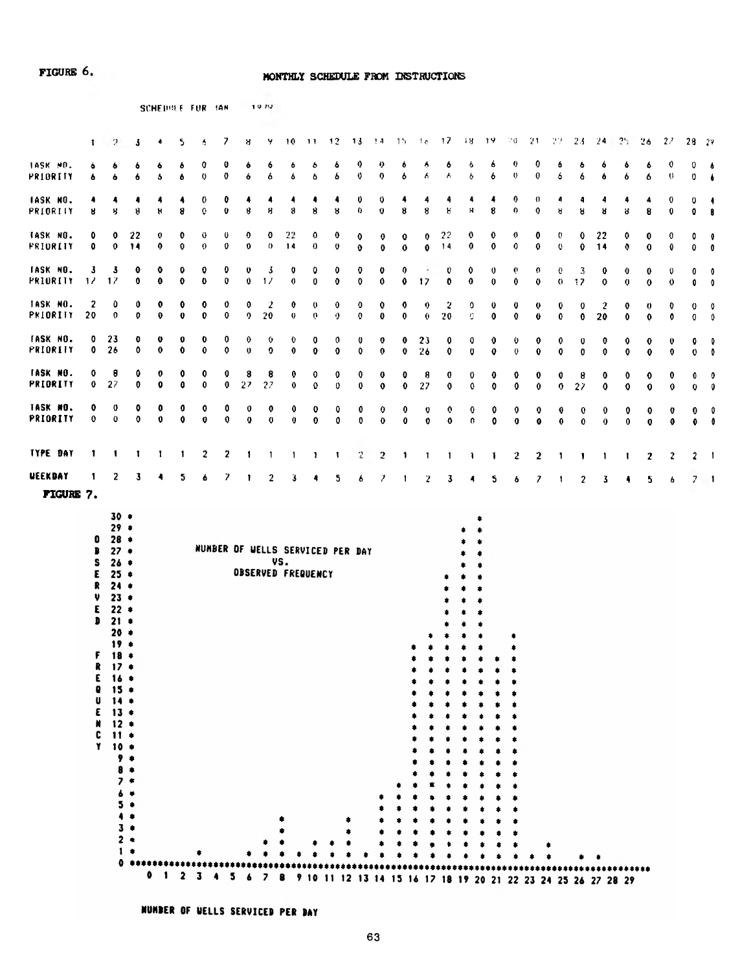**SCHEDULE FUR 16N** 1979

# **FIGURE 6. MONTHLY SCHEDULE FROM INSTRUCTIONS**

| $-12$<br>$\frac{1}{2}$<br>- 19<br>-21<br>22.<br>$\mathcal{L}$ .<br>7<br>- 8<br>-20<br>23<br>-24<br>$\mathbf{Z}$<br>$28 - 29$<br>9<br>10<br>$\mathbf{1}$<br>-13<br>- 14<br>- 15<br>l e<br>26<br>$\overline{2}$<br>J<br>٠<br>S.<br>4<br>Я<br>$\mathbf{I}$<br>0<br>Q<br>Q.<br>6<br>9<br>0<br>0<br>TASK MO.<br>0<br>o<br>6<br>6<br>ó<br>6<br>$\bullet$<br>6<br>ó<br>6<br>۰<br>ó.<br>6<br>ô<br>6<br>6<br>6<br>ô<br>۰<br>۰<br>۰<br>۰<br>$\theta$<br>$\mathbf 0$<br>6<br>6<br>0<br>$\theta$<br>ĥ<br>٨<br>0<br>0<br>6<br>6<br>6<br>6<br>$\theta$<br>PRIORITY<br>6<br>6<br>6<br>é<br>6<br>6<br>5<br>6<br>0<br>6<br>6<br>$\ddot{\mathbf{6}}$<br>$\bullet$<br>6<br>TASK NO.<br>0<br>0<br>4<br>0<br>$_{0}$<br>0<br>0<br>4<br>٠<br>4<br>4<br>4<br>4<br>4<br>4<br>4<br>0<br>4<br>4<br>4<br>4<br>4<br>4<br>0<br>٠<br>4<br>4<br>4<br>٠<br>Ŏ.<br>8<br>$\theta$<br>8<br>$\Omega$<br>8<br>8<br>8<br>$\boldsymbol{\mathcal{R}}$<br>$\mathbf{0}$<br>8<br>$\bf{0}$<br>8<br>8<br>$\boldsymbol{0}$<br>8<br>$\mathbf 0$<br>Я<br>U<br>H<br>R<br>PRIORITY<br>R<br>H<br>8<br>H<br>8<br>0<br>0<br>8<br>TASK NO.<br>22<br>22<br>0<br>22<br>0<br>0<br>0<br>0<br>0<br>0<br>22<br>0<br>0<br>0<br>0<br>Ÿ<br>o<br>0<br>o<br>0<br>0<br>0<br>0<br>0<br>0<br>0<br>0<br>0<br>٥<br>$\theta$<br>$\Omega$<br>$\bf{0}$<br>0<br>$\mathbf 0$<br>$\mathbf 0$<br>PRIORITY<br>$\bullet$<br>$\mathbf{0}$<br>14<br>$\ddot{\mathbf{0}}$<br>$\mathbf 0$<br>0<br>$\bf{0}$<br>14<br>Ü<br>0<br>$\mathbf 0$<br>$\mathbf 0$<br>14<br>Ô<br>$\mathbf 0$<br>14<br>$\mathbf 0$<br>$\mathbf{o}$<br>$\mathbf 0$<br>$\mathbf{o}$<br>$\mathbf 0$<br>0<br>0<br><b>TASK NO.</b><br>3<br>3<br>0<br>0<br>0<br>0<br>0<br>0<br>0<br>o<br>3<br>0<br>0<br>0<br>0<br>0<br>0<br>0<br>0<br>o<br>0<br>3<br>0<br>0<br>0<br>o<br>0<br>0<br>PRIORITY<br>$\frac{1}{2}$<br>$\bf{0}$<br>$\mathbf 0$<br>$\mathbf 0$<br>$\bf{0}$<br>0<br>$\mathbf 0$<br>$\mathbf 0$<br>$\mathbf 0$<br>17<br>$\mathbf 0$<br>17<br>17<br>0<br>0<br>0<br>0<br>$\bullet$<br>$\bf{0}$<br>0<br>$\theta$<br>17<br>$\mathbf 0$<br>$\bf 0$<br>$\bf{0}$<br>$\theta$<br>$\bf{0}$<br>0<br>0<br>TASK NO.<br>2<br>0<br>0<br>0<br>0<br>0<br>2<br>$\boldsymbol{v}$<br>0<br>0<br>0<br>$\boldsymbol{\theta}$<br>0<br>0<br>0<br>0<br>0<br>0<br>0<br>o<br>$\boldsymbol{\mathsf{2}}$<br>0<br>0<br>0<br>0<br>0<br>0<br>0<br>0<br>PRIORITY<br>20<br>$\mathbf 0$<br>0<br>20<br>0<br>0<br>$\mathbf 0$<br>$\mathbf 0$<br>0<br>$\theta$<br>0<br>$\boldsymbol{\theta}$<br>0<br>0<br>20<br>G.<br>0<br>$\pmb{0}$<br>$\bf{0}$<br>$\pmb{0}$<br>$\ddot{\mathbf{0}}$<br>0<br>$\mathbf 0$<br>20<br>0<br>0<br>$\mathbf 0$<br>0<br>0<br><b>TASK NO.</b><br>0<br>23<br>o<br>0<br>0<br>0<br>0<br>0<br>0<br>0<br>0<br>23<br>0<br>O<br>0<br>0<br>0<br>0<br>0<br>0<br>0<br>0<br>0<br>0<br>0<br>0<br>v<br>0<br>0<br>$\mathbf 0$<br>26<br>$\mathbf 0$<br>$\bullet$<br>$\mathbf 0$<br>PRIORITY<br>$\mathbf 0$<br>$\mathbf 0$<br>$\mathbf{u}$<br>$\mathbf 0$<br>0<br>$\mathbf 0$<br>$\mathbf 0$<br>0<br>$\theta$<br>26<br>$\mathbf 0$<br>$\theta$<br>$\mathbf 0$<br>$\mathbf 0$<br>0<br>0<br>$\mathbf 0$<br>$\mathbf 0$<br>$\mathbf 0$<br>$\mathbf 0$<br>$\mathbf 0$<br>$\mathbf{o}$<br>$\mathbf 0$<br>0<br>TASK NO.<br>8<br>0<br>0<br>0<br>0<br>0<br>0<br>8<br>8<br>0<br>0<br>8<br>0<br>0<br>0<br>0<br>0<br>0<br>0<br>0<br>0<br>8<br>0<br>0<br>0<br>0<br>0<br>0<br>0<br>PRIORITY<br>27<br>0<br>$\mathbf 0$<br>0<br>$\mathbf 0$<br>$\mathbf 0$<br>0<br>27<br>27<br>$\mathbf 0$<br>0<br>0<br>0<br>0<br>$\mathbf 0$<br>27<br>$\mathbf 0$<br>$\mathbf 0$<br>$\mathbf 0$<br>$\mathbf 0$<br>$\mathbf 0$<br>0<br>27<br>0<br>0<br>$\mathbf 0$<br>$\mathbf 0$<br>$\mathbf 0$<br>0<br>TASK NO.<br>0<br>0<br>0<br>0<br>0<br>0<br>0<br>0<br>0<br>0<br>0<br>0<br>0<br>0<br>0<br>0<br>0<br>0<br>o<br>0<br>0<br>0<br>0<br>0<br>0<br>0<br>0<br>0<br>0<br>PRIORITY<br>0<br>$\mathbf 0$<br>$\mathbf 0$<br>0<br>$\mathbf 0$<br>$\mathbf 0$<br>0<br>$\mathbf 0$<br>$\theta$<br>O<br>Ù<br>0<br>0<br>0<br>$\mathbf 0$<br>0<br>$\pmb{0}$<br>0<br>$\mathbf 0$<br>$\mathbf 0$<br>0<br>$\bullet$<br>$\mathbf 0$<br>$\mathbf 0$<br>$\mathbf 0$<br>$\mathbf 0$<br>0<br>0<br>$\mathbf{\hat{J}}$<br><b>TYPE DAY</b><br>1<br>1<br>2<br>2<br>1<br>1<br>$\mathbf{1}$<br>$\mathbf{1}$<br>$\mathbf{1}$<br>2<br>$\mathbf{1}$<br>1<br>1<br>2<br>2<br>2<br>$2 \quad 1$<br>1<br>1<br>1<br>1<br>1<br>$\mathbf{z}$<br>2<br>-1<br>1<br>1<br>1<br>UEEKDAY<br>2<br>1<br>3<br>7<br>5<br>2<br>6<br>3<br>5<br>Ž<br>1<br>6<br>2<br>3<br>$7 - 1$<br>4<br>5<br>7<br>2<br>3<br>5<br>6<br>4<br>6<br>FIGURE 7.<br>$30 *$<br>٠<br>$29 *$<br>۰<br>۰<br>$28 *$<br>0<br>$\pmb{\ast}$<br>۰.<br>NUMBER OF WELLS SERVICED PER DAY<br>$27 *$<br>В<br>۰<br>VS.<br>s<br>26 ≉<br>۰<br><b>OBSERVED FREQUENCY</b><br>ε<br>$25$ $\bullet$<br>٠<br>R<br>$24$ $*$<br>۰<br>v<br>$23 *$<br>۰<br>ε<br>22 ≉<br>۰<br>D<br>21.<br>۰<br>$20$ $\bullet$<br>\$<br>٠<br>19.<br>٠<br>F<br>18.4<br>*<br>*<br>٠<br>R<br>17.4<br>۰<br>۰<br>$\bullet$<br>۰<br>$\bullet$<br>$\bullet$<br>Ε<br>16.<br>15.<br>Q<br>u<br>14.4<br>$E$ 13 $\bullet$<br>N<br>12<br>C<br>11.4<br>$Y$ 10 $*$<br>9.4<br>8 ≉<br>$7 *$<br>5.<br>3<br>2<br>$\mathbf{1}$<br>$0$ $**$<br>0 1 2 3 4 5 6 7 8 9 10 11 12 13 14 15 16 17 18 19 20 21 22 23 24 25 26 27 28 29 |  |  |  |  |  |  |  |  |  |  |  |  |  |  |  |
|-----------------------------------------------------------------------------------------------------------------------------------------------------------------------------------------------------------------------------------------------------------------------------------------------------------------------------------------------------------------------------------------------------------------------------------------------------------------------------------------------------------------------------------------------------------------------------------------------------------------------------------------------------------------------------------------------------------------------------------------------------------------------------------------------------------------------------------------------------------------------------------------------------------------------------------------------------------------------------------------------------------------------------------------------------------------------------------------------------------------------------------------------------------------------------------------------------------------------------------------------------------------------------------------------------------------------------------------------------------------------------------------------------------------------------------------------------------------------------------------------------------------------------------------------------------------------------------------------------------------------------------------------------------------------------------------------------------------------------------------------------------------------------------------------------------------------------------------------------------------------------------------------------------------------------------------------------------------------------------------------------------------------------------------------------------------------------------------------------------------------------------------------------------------------------------------------------------------------------------------------------------------------------------------------------------------------------------------------------------------------------------------------------------------------------------------------------------------------------------------------------------------------------------------------------------------------------------------------------------------------------------------------------------------------------------------------------------------------------------------------------------------------------------------------------------------------------------------------------------------------------------------------------------------------------------------------------------------------------------------------------------------------------------------------------------------------------------------------------------------------------------------------------------------------------------------------------------------------------------------------------------------------------------------------------------------------------------------------------------------------------------------------------------------------------------------------------------------------------------------------------------------------------------------------------------------------------------------------------------------------------------------------------------------------------------------------------------------------------------------------------------------------------------------------------------------------------------------------------------------------------------------------------------------------------------------------------------------------------------------------------------------------------------------------------------------------------------------------------------------------------------------------------------------------------------------------------------------------------------------------------------------------------------------------------------------------------------------------------------------------------------------------------------------------------------------------------------------------------------------------------------------------------------------------------------------------------------------------------------------------------------------------------------------------------------------------------------------------------------------------------------------------------------------------------------------------------------------------------------------------------------------------------------------------------------------------------------------------------------------------------------------------------------------------------------------------------------------------------------------------------------------------------------------------------------------------------|--|--|--|--|--|--|--|--|--|--|--|--|--|--|--|
|                                                                                                                                                                                                                                                                                                                                                                                                                                                                                                                                                                                                                                                                                                                                                                                                                                                                                                                                                                                                                                                                                                                                                                                                                                                                                                                                                                                                                                                                                                                                                                                                                                                                                                                                                                                                                                                                                                                                                                                                                                                                                                                                                                                                                                                                                                                                                                                                                                                                                                                                                                                                                                                                                                                                                                                                                                                                                                                                                                                                                                                                                                                                                                                                                                                                                                                                                                                                                                                                                                                                                                                                                                                                                                                                                                                                                                                                                                                                                                                                                                                                                                                                                                                                                                                                                                                                                                                                                                                                                                                                                                                                                                                                                                                                                                                                                                                                                                                                                                                                                                                                                                                                                                                                     |  |  |  |  |  |  |  |  |  |  |  |  |  |  |  |
|                                                                                                                                                                                                                                                                                                                                                                                                                                                                                                                                                                                                                                                                                                                                                                                                                                                                                                                                                                                                                                                                                                                                                                                                                                                                                                                                                                                                                                                                                                                                                                                                                                                                                                                                                                                                                                                                                                                                                                                                                                                                                                                                                                                                                                                                                                                                                                                                                                                                                                                                                                                                                                                                                                                                                                                                                                                                                                                                                                                                                                                                                                                                                                                                                                                                                                                                                                                                                                                                                                                                                                                                                                                                                                                                                                                                                                                                                                                                                                                                                                                                                                                                                                                                                                                                                                                                                                                                                                                                                                                                                                                                                                                                                                                                                                                                                                                                                                                                                                                                                                                                                                                                                                                                     |  |  |  |  |  |  |  |  |  |  |  |  |  |  |  |
|                                                                                                                                                                                                                                                                                                                                                                                                                                                                                                                                                                                                                                                                                                                                                                                                                                                                                                                                                                                                                                                                                                                                                                                                                                                                                                                                                                                                                                                                                                                                                                                                                                                                                                                                                                                                                                                                                                                                                                                                                                                                                                                                                                                                                                                                                                                                                                                                                                                                                                                                                                                                                                                                                                                                                                                                                                                                                                                                                                                                                                                                                                                                                                                                                                                                                                                                                                                                                                                                                                                                                                                                                                                                                                                                                                                                                                                                                                                                                                                                                                                                                                                                                                                                                                                                                                                                                                                                                                                                                                                                                                                                                                                                                                                                                                                                                                                                                                                                                                                                                                                                                                                                                                                                     |  |  |  |  |  |  |  |  |  |  |  |  |  |  |  |
|                                                                                                                                                                                                                                                                                                                                                                                                                                                                                                                                                                                                                                                                                                                                                                                                                                                                                                                                                                                                                                                                                                                                                                                                                                                                                                                                                                                                                                                                                                                                                                                                                                                                                                                                                                                                                                                                                                                                                                                                                                                                                                                                                                                                                                                                                                                                                                                                                                                                                                                                                                                                                                                                                                                                                                                                                                                                                                                                                                                                                                                                                                                                                                                                                                                                                                                                                                                                                                                                                                                                                                                                                                                                                                                                                                                                                                                                                                                                                                                                                                                                                                                                                                                                                                                                                                                                                                                                                                                                                                                                                                                                                                                                                                                                                                                                                                                                                                                                                                                                                                                                                                                                                                                                     |  |  |  |  |  |  |  |  |  |  |  |  |  |  |  |
|                                                                                                                                                                                                                                                                                                                                                                                                                                                                                                                                                                                                                                                                                                                                                                                                                                                                                                                                                                                                                                                                                                                                                                                                                                                                                                                                                                                                                                                                                                                                                                                                                                                                                                                                                                                                                                                                                                                                                                                                                                                                                                                                                                                                                                                                                                                                                                                                                                                                                                                                                                                                                                                                                                                                                                                                                                                                                                                                                                                                                                                                                                                                                                                                                                                                                                                                                                                                                                                                                                                                                                                                                                                                                                                                                                                                                                                                                                                                                                                                                                                                                                                                                                                                                                                                                                                                                                                                                                                                                                                                                                                                                                                                                                                                                                                                                                                                                                                                                                                                                                                                                                                                                                                                     |  |  |  |  |  |  |  |  |  |  |  |  |  |  |  |
|                                                                                                                                                                                                                                                                                                                                                                                                                                                                                                                                                                                                                                                                                                                                                                                                                                                                                                                                                                                                                                                                                                                                                                                                                                                                                                                                                                                                                                                                                                                                                                                                                                                                                                                                                                                                                                                                                                                                                                                                                                                                                                                                                                                                                                                                                                                                                                                                                                                                                                                                                                                                                                                                                                                                                                                                                                                                                                                                                                                                                                                                                                                                                                                                                                                                                                                                                                                                                                                                                                                                                                                                                                                                                                                                                                                                                                                                                                                                                                                                                                                                                                                                                                                                                                                                                                                                                                                                                                                                                                                                                                                                                                                                                                                                                                                                                                                                                                                                                                                                                                                                                                                                                                                                     |  |  |  |  |  |  |  |  |  |  |  |  |  |  |  |
|                                                                                                                                                                                                                                                                                                                                                                                                                                                                                                                                                                                                                                                                                                                                                                                                                                                                                                                                                                                                                                                                                                                                                                                                                                                                                                                                                                                                                                                                                                                                                                                                                                                                                                                                                                                                                                                                                                                                                                                                                                                                                                                                                                                                                                                                                                                                                                                                                                                                                                                                                                                                                                                                                                                                                                                                                                                                                                                                                                                                                                                                                                                                                                                                                                                                                                                                                                                                                                                                                                                                                                                                                                                                                                                                                                                                                                                                                                                                                                                                                                                                                                                                                                                                                                                                                                                                                                                                                                                                                                                                                                                                                                                                                                                                                                                                                                                                                                                                                                                                                                                                                                                                                                                                     |  |  |  |  |  |  |  |  |  |  |  |  |  |  |  |
|                                                                                                                                                                                                                                                                                                                                                                                                                                                                                                                                                                                                                                                                                                                                                                                                                                                                                                                                                                                                                                                                                                                                                                                                                                                                                                                                                                                                                                                                                                                                                                                                                                                                                                                                                                                                                                                                                                                                                                                                                                                                                                                                                                                                                                                                                                                                                                                                                                                                                                                                                                                                                                                                                                                                                                                                                                                                                                                                                                                                                                                                                                                                                                                                                                                                                                                                                                                                                                                                                                                                                                                                                                                                                                                                                                                                                                                                                                                                                                                                                                                                                                                                                                                                                                                                                                                                                                                                                                                                                                                                                                                                                                                                                                                                                                                                                                                                                                                                                                                                                                                                                                                                                                                                     |  |  |  |  |  |  |  |  |  |  |  |  |  |  |  |
|                                                                                                                                                                                                                                                                                                                                                                                                                                                                                                                                                                                                                                                                                                                                                                                                                                                                                                                                                                                                                                                                                                                                                                                                                                                                                                                                                                                                                                                                                                                                                                                                                                                                                                                                                                                                                                                                                                                                                                                                                                                                                                                                                                                                                                                                                                                                                                                                                                                                                                                                                                                                                                                                                                                                                                                                                                                                                                                                                                                                                                                                                                                                                                                                                                                                                                                                                                                                                                                                                                                                                                                                                                                                                                                                                                                                                                                                                                                                                                                                                                                                                                                                                                                                                                                                                                                                                                                                                                                                                                                                                                                                                                                                                                                                                                                                                                                                                                                                                                                                                                                                                                                                                                                                     |  |  |  |  |  |  |  |  |  |  |  |  |  |  |  |
|                                                                                                                                                                                                                                                                                                                                                                                                                                                                                                                                                                                                                                                                                                                                                                                                                                                                                                                                                                                                                                                                                                                                                                                                                                                                                                                                                                                                                                                                                                                                                                                                                                                                                                                                                                                                                                                                                                                                                                                                                                                                                                                                                                                                                                                                                                                                                                                                                                                                                                                                                                                                                                                                                                                                                                                                                                                                                                                                                                                                                                                                                                                                                                                                                                                                                                                                                                                                                                                                                                                                                                                                                                                                                                                                                                                                                                                                                                                                                                                                                                                                                                                                                                                                                                                                                                                                                                                                                                                                                                                                                                                                                                                                                                                                                                                                                                                                                                                                                                                                                                                                                                                                                                                                     |  |  |  |  |  |  |  |  |  |  |  |  |  |  |  |
|                                                                                                                                                                                                                                                                                                                                                                                                                                                                                                                                                                                                                                                                                                                                                                                                                                                                                                                                                                                                                                                                                                                                                                                                                                                                                                                                                                                                                                                                                                                                                                                                                                                                                                                                                                                                                                                                                                                                                                                                                                                                                                                                                                                                                                                                                                                                                                                                                                                                                                                                                                                                                                                                                                                                                                                                                                                                                                                                                                                                                                                                                                                                                                                                                                                                                                                                                                                                                                                                                                                                                                                                                                                                                                                                                                                                                                                                                                                                                                                                                                                                                                                                                                                                                                                                                                                                                                                                                                                                                                                                                                                                                                                                                                                                                                                                                                                                                                                                                                                                                                                                                                                                                                                                     |  |  |  |  |  |  |  |  |  |  |  |  |  |  |  |
|                                                                                                                                                                                                                                                                                                                                                                                                                                                                                                                                                                                                                                                                                                                                                                                                                                                                                                                                                                                                                                                                                                                                                                                                                                                                                                                                                                                                                                                                                                                                                                                                                                                                                                                                                                                                                                                                                                                                                                                                                                                                                                                                                                                                                                                                                                                                                                                                                                                                                                                                                                                                                                                                                                                                                                                                                                                                                                                                                                                                                                                                                                                                                                                                                                                                                                                                                                                                                                                                                                                                                                                                                                                                                                                                                                                                                                                                                                                                                                                                                                                                                                                                                                                                                                                                                                                                                                                                                                                                                                                                                                                                                                                                                                                                                                                                                                                                                                                                                                                                                                                                                                                                                                                                     |  |  |  |  |  |  |  |  |  |  |  |  |  |  |  |
|                                                                                                                                                                                                                                                                                                                                                                                                                                                                                                                                                                                                                                                                                                                                                                                                                                                                                                                                                                                                                                                                                                                                                                                                                                                                                                                                                                                                                                                                                                                                                                                                                                                                                                                                                                                                                                                                                                                                                                                                                                                                                                                                                                                                                                                                                                                                                                                                                                                                                                                                                                                                                                                                                                                                                                                                                                                                                                                                                                                                                                                                                                                                                                                                                                                                                                                                                                                                                                                                                                                                                                                                                                                                                                                                                                                                                                                                                                                                                                                                                                                                                                                                                                                                                                                                                                                                                                                                                                                                                                                                                                                                                                                                                                                                                                                                                                                                                                                                                                                                                                                                                                                                                                                                     |  |  |  |  |  |  |  |  |  |  |  |  |  |  |  |
|                                                                                                                                                                                                                                                                                                                                                                                                                                                                                                                                                                                                                                                                                                                                                                                                                                                                                                                                                                                                                                                                                                                                                                                                                                                                                                                                                                                                                                                                                                                                                                                                                                                                                                                                                                                                                                                                                                                                                                                                                                                                                                                                                                                                                                                                                                                                                                                                                                                                                                                                                                                                                                                                                                                                                                                                                                                                                                                                                                                                                                                                                                                                                                                                                                                                                                                                                                                                                                                                                                                                                                                                                                                                                                                                                                                                                                                                                                                                                                                                                                                                                                                                                                                                                                                                                                                                                                                                                                                                                                                                                                                                                                                                                                                                                                                                                                                                                                                                                                                                                                                                                                                                                                                                     |  |  |  |  |  |  |  |  |  |  |  |  |  |  |  |
|                                                                                                                                                                                                                                                                                                                                                                                                                                                                                                                                                                                                                                                                                                                                                                                                                                                                                                                                                                                                                                                                                                                                                                                                                                                                                                                                                                                                                                                                                                                                                                                                                                                                                                                                                                                                                                                                                                                                                                                                                                                                                                                                                                                                                                                                                                                                                                                                                                                                                                                                                                                                                                                                                                                                                                                                                                                                                                                                                                                                                                                                                                                                                                                                                                                                                                                                                                                                                                                                                                                                                                                                                                                                                                                                                                                                                                                                                                                                                                                                                                                                                                                                                                                                                                                                                                                                                                                                                                                                                                                                                                                                                                                                                                                                                                                                                                                                                                                                                                                                                                                                                                                                                                                                     |  |  |  |  |  |  |  |  |  |  |  |  |  |  |  |
|                                                                                                                                                                                                                                                                                                                                                                                                                                                                                                                                                                                                                                                                                                                                                                                                                                                                                                                                                                                                                                                                                                                                                                                                                                                                                                                                                                                                                                                                                                                                                                                                                                                                                                                                                                                                                                                                                                                                                                                                                                                                                                                                                                                                                                                                                                                                                                                                                                                                                                                                                                                                                                                                                                                                                                                                                                                                                                                                                                                                                                                                                                                                                                                                                                                                                                                                                                                                                                                                                                                                                                                                                                                                                                                                                                                                                                                                                                                                                                                                                                                                                                                                                                                                                                                                                                                                                                                                                                                                                                                                                                                                                                                                                                                                                                                                                                                                                                                                                                                                                                                                                                                                                                                                     |  |  |  |  |  |  |  |  |  |  |  |  |  |  |  |
|                                                                                                                                                                                                                                                                                                                                                                                                                                                                                                                                                                                                                                                                                                                                                                                                                                                                                                                                                                                                                                                                                                                                                                                                                                                                                                                                                                                                                                                                                                                                                                                                                                                                                                                                                                                                                                                                                                                                                                                                                                                                                                                                                                                                                                                                                                                                                                                                                                                                                                                                                                                                                                                                                                                                                                                                                                                                                                                                                                                                                                                                                                                                                                                                                                                                                                                                                                                                                                                                                                                                                                                                                                                                                                                                                                                                                                                                                                                                                                                                                                                                                                                                                                                                                                                                                                                                                                                                                                                                                                                                                                                                                                                                                                                                                                                                                                                                                                                                                                                                                                                                                                                                                                                                     |  |  |  |  |  |  |  |  |  |  |  |  |  |  |  |
|                                                                                                                                                                                                                                                                                                                                                                                                                                                                                                                                                                                                                                                                                                                                                                                                                                                                                                                                                                                                                                                                                                                                                                                                                                                                                                                                                                                                                                                                                                                                                                                                                                                                                                                                                                                                                                                                                                                                                                                                                                                                                                                                                                                                                                                                                                                                                                                                                                                                                                                                                                                                                                                                                                                                                                                                                                                                                                                                                                                                                                                                                                                                                                                                                                                                                                                                                                                                                                                                                                                                                                                                                                                                                                                                                                                                                                                                                                                                                                                                                                                                                                                                                                                                                                                                                                                                                                                                                                                                                                                                                                                                                                                                                                                                                                                                                                                                                                                                                                                                                                                                                                                                                                                                     |  |  |  |  |  |  |  |  |  |  |  |  |  |  |  |
|                                                                                                                                                                                                                                                                                                                                                                                                                                                                                                                                                                                                                                                                                                                                                                                                                                                                                                                                                                                                                                                                                                                                                                                                                                                                                                                                                                                                                                                                                                                                                                                                                                                                                                                                                                                                                                                                                                                                                                                                                                                                                                                                                                                                                                                                                                                                                                                                                                                                                                                                                                                                                                                                                                                                                                                                                                                                                                                                                                                                                                                                                                                                                                                                                                                                                                                                                                                                                                                                                                                                                                                                                                                                                                                                                                                                                                                                                                                                                                                                                                                                                                                                                                                                                                                                                                                                                                                                                                                                                                                                                                                                                                                                                                                                                                                                                                                                                                                                                                                                                                                                                                                                                                                                     |  |  |  |  |  |  |  |  |  |  |  |  |  |  |  |
|                                                                                                                                                                                                                                                                                                                                                                                                                                                                                                                                                                                                                                                                                                                                                                                                                                                                                                                                                                                                                                                                                                                                                                                                                                                                                                                                                                                                                                                                                                                                                                                                                                                                                                                                                                                                                                                                                                                                                                                                                                                                                                                                                                                                                                                                                                                                                                                                                                                                                                                                                                                                                                                                                                                                                                                                                                                                                                                                                                                                                                                                                                                                                                                                                                                                                                                                                                                                                                                                                                                                                                                                                                                                                                                                                                                                                                                                                                                                                                                                                                                                                                                                                                                                                                                                                                                                                                                                                                                                                                                                                                                                                                                                                                                                                                                                                                                                                                                                                                                                                                                                                                                                                                                                     |  |  |  |  |  |  |  |  |  |  |  |  |  |  |  |
|                                                                                                                                                                                                                                                                                                                                                                                                                                                                                                                                                                                                                                                                                                                                                                                                                                                                                                                                                                                                                                                                                                                                                                                                                                                                                                                                                                                                                                                                                                                                                                                                                                                                                                                                                                                                                                                                                                                                                                                                                                                                                                                                                                                                                                                                                                                                                                                                                                                                                                                                                                                                                                                                                                                                                                                                                                                                                                                                                                                                                                                                                                                                                                                                                                                                                                                                                                                                                                                                                                                                                                                                                                                                                                                                                                                                                                                                                                                                                                                                                                                                                                                                                                                                                                                                                                                                                                                                                                                                                                                                                                                                                                                                                                                                                                                                                                                                                                                                                                                                                                                                                                                                                                                                     |  |  |  |  |  |  |  |  |  |  |  |  |  |  |  |

NUMBER OF WELLS SERVICED PER DAY